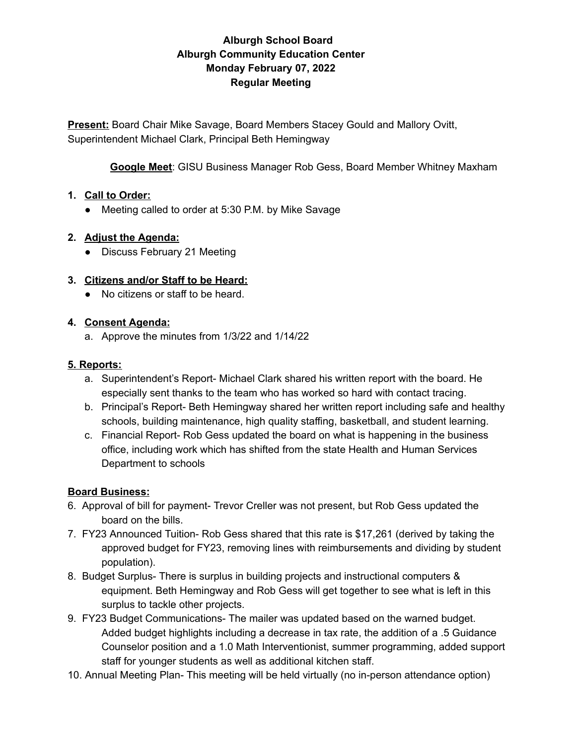# **Alburgh School Board Alburgh Community Education Center Monday February 07, 2022 Regular Meeting**

**Present:** Board Chair Mike Savage, Board Members Stacey Gould and Mallory Ovitt, Superintendent Michael Clark, Principal Beth Hemingway

**Google Meet**: GISU Business Manager Rob Gess, Board Member Whitney Maxham

#### **1. Call to Order:**

● Meeting called to order at 5:30 P.M. by Mike Savage

## **2. Adjust the Agenda:**

● Discuss February 21 Meeting

## **3. Citizens and/or Staff to be Heard:**

● No citizens or staff to be heard.

#### **4. Consent Agenda:**

a. Approve the minutes from 1/3/22 and 1/14/22

## **5. Reports:**

- a. Superintendent's Report- Michael Clark shared his written report with the board. He especially sent thanks to the team who has worked so hard with contact tracing.
- b. Principal's Report- Beth Hemingway shared her written report including safe and healthy schools, building maintenance, high quality staffing, basketball, and student learning.
- c. Financial Report- Rob Gess updated the board on what is happening in the business office, including work which has shifted from the state Health and Human Services Department to schools

# **Board Business:**

- 6. Approval of bill for payment- Trevor Creller was not present, but Rob Gess updated the board on the bills.
- 7. FY23 Announced Tuition- Rob Gess shared that this rate is \$17,261 (derived by taking the approved budget for FY23, removing lines with reimbursements and dividing by student population).
- 8. Budget Surplus- There is surplus in building projects and instructional computers & equipment. Beth Hemingway and Rob Gess will get together to see what is left in this surplus to tackle other projects.
- 9. FY23 Budget Communications- The mailer was updated based on the warned budget. Added budget highlights including a decrease in tax rate, the addition of a .5 Guidance Counselor position and a 1.0 Math Interventionist, summer programming, added support staff for younger students as well as additional kitchen staff.
- 10. Annual Meeting Plan- This meeting will be held virtually (no in-person attendance option)